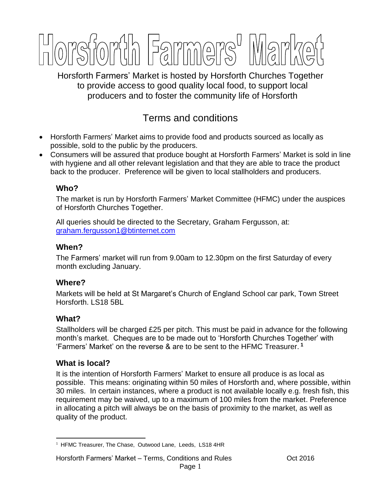

Horsforth Farmers' Market is hosted by Horsforth Churches Together to provide access to good quality local food, to support local producers and to foster the community life of Horsforth

# Terms and conditions

- Horsforth Farmers' Market aims to provide food and products sourced as locally as possible, sold to the public by the producers.
- Consumers will be assured that produce bought at Horsforth Farmers' Market is sold in line with hygiene and all other relevant legislation and that they are able to trace the product back to the producer. Preference will be given to local stallholders and producers.

# **Who?**

The market is run by Horsforth Farmers' Market Committee (HFMC) under the auspices of Horsforth Churches Together.

All queries should be directed to the Secretary, Graham Fergusson, at: [graham.fergusson1@btinternet.com](mailto:graham.fergusson1@btinternet.com)

# **When?**

The Farmers' market will run from 9.00am to 12.30pm on the first Saturday of every month excluding January.

# **Where?**

Markets will be held at St Margaret's Church of England School car park, Town Street Horsforth. LS18 5BL

# **What?**

Stallholders will be charged £25 per pitch. This must be paid in advance for the following month's market. Cheques are to be made out to 'Horsforth Churches Together' with 'Farmers' Market' on the reverse & are to be sent to the HFMC Treasurer. **1**

# **What is local?**

It is the intention of Horsforth Farmers' Market to ensure all produce is as local as possible. This means: originating within 50 miles of Horsforth and, where possible, within 30 miles. In certain instances, where a product is not available locally e.g. fresh fish, this requirement may be waived, up to a maximum of 100 miles from the market. Preference in allocating a pitch will always be on the basis of proximity to the market, as well as quality of the product.

 $\overline{a}$ <sup>1</sup> HFMC Treasurer, The Chase, Outwood Lane, Leeds, LS18 4HR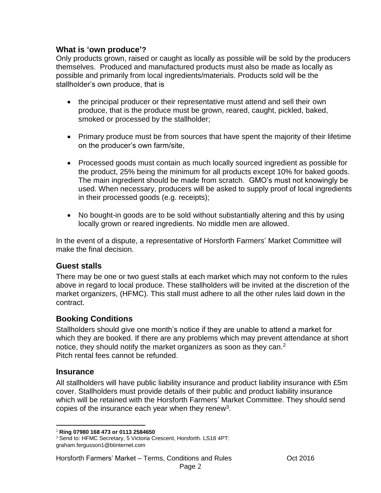#### **What is 'own produce'?**

Only products grown, raised or caught as locally as possible will be sold by the producers themselves. Produced and manufactured products must also be made as locally as possible and primarily from local ingredients/materials. Products sold will be the stallholder's own produce, that is

- the principal producer or their representative must attend and sell their own produce, that is the produce must be grown, reared, caught, pickled, baked, smoked or processed by the stallholder;
- Primary produce must be from sources that have spent the majority of their lifetime on the producer's own farm/site,
- Processed goods must contain as much locally sourced ingredient as possible for the product, 25% being the minimum for all products except 10% for baked goods. The main ingredient should be made from scratch. GMO's must not knowingly be used. When necessary, producers will be asked to supply proof of local ingredients in their processed goods (e.g. receipts);
- No bought-in goods are to be sold without substantially altering and this by using locally grown or reared ingredients. No middle men are allowed.

In the event of a dispute, a representative of Horsforth Farmers' Market Committee will make the final decision.

# **Guest stalls**

There may be one or two guest stalls at each market which may not conform to the rules above in regard to local produce. These stallholders will be invited at the discretion of the market organizers, (HFMC). This stall must adhere to all the other rules laid down in the contract.

#### **Booking Conditions**

Stallholders should give one month's notice if they are unable to attend a market for which they are booked. If there are any problems which may prevent attendance at short notice, they should notify the market organizers as soon as they can. $2<sup>2</sup>$ Pitch rental fees cannot be refunded.

#### **Insurance**

All stallholders will have public liability insurance and product liability insurance with £5m cover. Stallholders must provide details of their public and product liability insurance which will be retained with the Horsforth Farmers' Market Committee. They should send copies of the insurance each year when they renew<sup>3</sup>.

 $\overline{a}$ <sup>2</sup> **Ring 07980 168 473 or 0113 2584650**

<sup>&</sup>lt;sup>3</sup> Send to: HFMC Secretary, 5 Victoria Crescent, Horsforth. LS18 4PT: graham.fergusson1@btinternet.com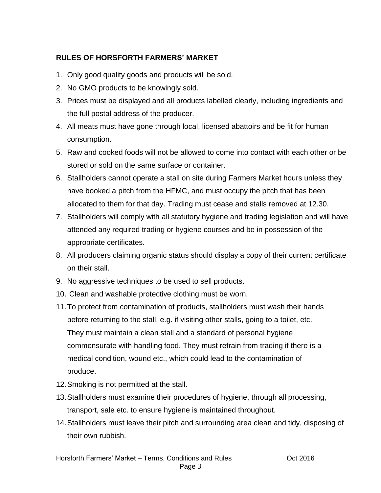# **RULES OF HORSFORTH FARMERS' MARKET**

- 1. Only good quality goods and products will be sold.
- 2. No GMO products to be knowingly sold.
- 3. Prices must be displayed and all products labelled clearly, including ingredients and the full postal address of the producer.
- 4. All meats must have gone through local, licensed abattoirs and be fit for human consumption.
- 5. Raw and cooked foods will not be allowed to come into contact with each other or be stored or sold on the same surface or container.
- 6. Stallholders cannot operate a stall on site during Farmers Market hours unless they have booked a pitch from the HFMC, and must occupy the pitch that has been allocated to them for that day. Trading must cease and stalls removed at 12.30.
- 7. Stallholders will comply with all statutory hygiene and trading legislation and will have attended any required trading or hygiene courses and be in possession of the appropriate certificates.
- 8. All producers claiming organic status should display a copy of their current certificate on their stall.
- 9. No aggressive techniques to be used to sell products.
- 10. Clean and washable protective clothing must be worn.
- 11.To protect from contamination of products, stallholders must wash their hands before returning to the stall, e.g. if visiting other stalls, going to a toilet, etc. They must maintain a clean stall and a standard of personal hygiene commensurate with handling food. They must refrain from trading if there is a medical condition, wound etc., which could lead to the contamination of produce.
- 12.Smoking is not permitted at the stall.
- 13.Stallholders must examine their procedures of hygiene, through all processing, transport, sale etc. to ensure hygiene is maintained throughout.
- 14.Stallholders must leave their pitch and surrounding area clean and tidy, disposing of their own rubbish.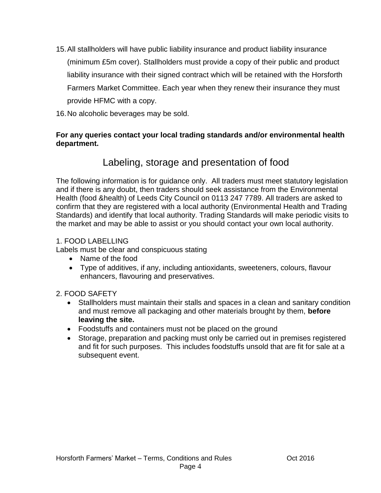- 15.All stallholders will have public liability insurance and product liability insurance (minimum £5m cover). Stallholders must provide a copy of their public and product liability insurance with their signed contract which will be retained with the Horsforth Farmers Market Committee. Each year when they renew their insurance they must provide HFMC with a copy.
- 16.No alcoholic beverages may be sold.

#### **For any queries contact your local trading standards and/or environmental health department.**

# Labeling, storage and presentation of food

The following information is for guidance only. All traders must meet statutory legislation and if there is any doubt, then traders should seek assistance from the Environmental Health (food &health) of Leeds City Council on 0113 247 7789. All traders are asked to confirm that they are registered with a local authority (Environmental Health and Trading Standards) and identify that local authority. Trading Standards will make periodic visits to the market and may be able to assist or you should contact your own local authority.

#### 1. FOOD LABELLING

Labels must be clear and conspicuous stating

- Name of the food
- Type of additives, if any, including antioxidants, sweeteners, colours, flavour enhancers, flavouring and preservatives.

# 2. FOOD SAFETY

- Stallholders must maintain their stalls and spaces in a clean and sanitary condition and must remove all packaging and other materials brought by them, **before leaving the site.**
- Foodstuffs and containers must not be placed on the ground
- Storage, preparation and packing must only be carried out in premises registered and fit for such purposes. This includes foodstuffs unsold that are fit for sale at a subsequent event.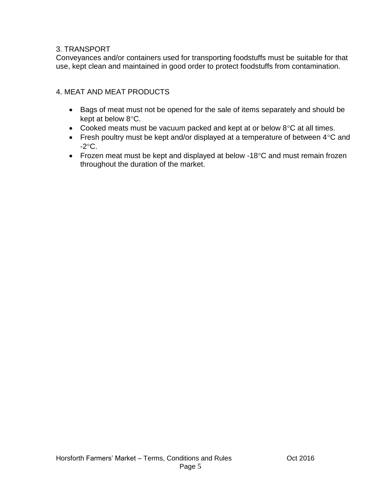#### 3. TRANSPORT

Conveyances and/or containers used for transporting foodstuffs must be suitable for that use, kept clean and maintained in good order to protect foodstuffs from contamination.

#### 4. MEAT AND MEAT PRODUCTS

- Bags of meat must not be opened for the sale of items separately and should be kept at below  $8^{\circ}$ C.
- Cooked meats must be vacuum packed and kept at or below  $8^{\circ}$ C at all times.
- Fresh poultry must be kept and/or displayed at a temperature of between  $4^{\circ}$ C and  $-2$ °C.
- Frozen meat must be kept and displayed at below -18 $\degree$ C and must remain frozen throughout the duration of the market.